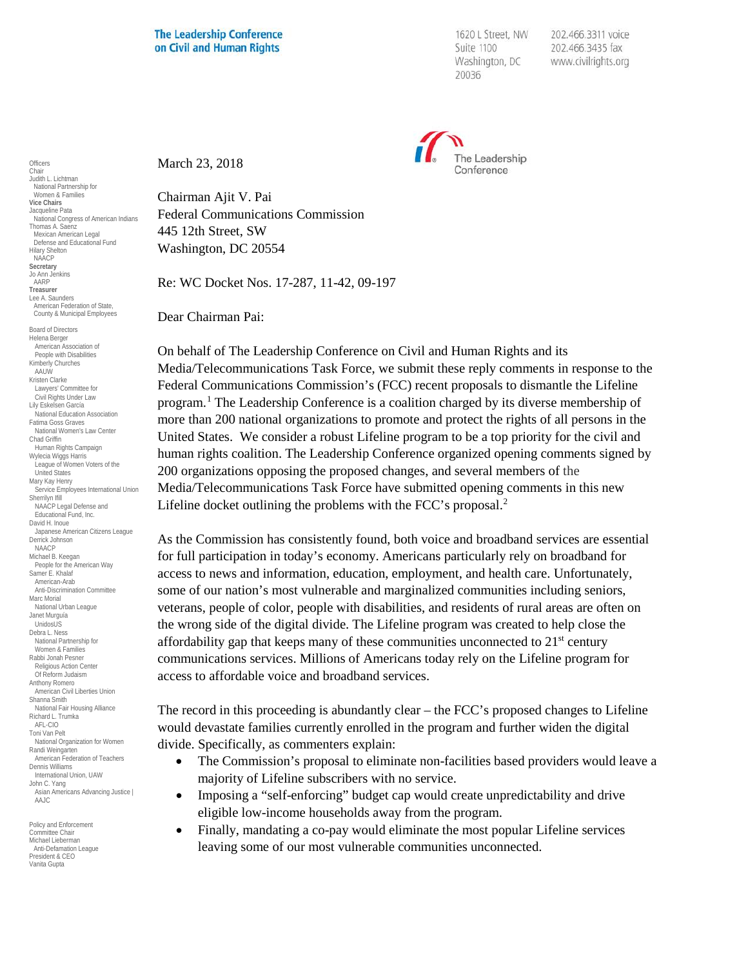## **The Leadership Conference** on Civil and Human Rights

1620 L Street, NW Suite 1100 Washington, DC 20036

202.466.3311 voice 202.466.3435 fax www.civilrights.org



March 23, 2018

Chairman Ajit V. Pai Federal Communications Commission 445 12th Street, SW Washington, DC 20554

Re: WC Docket Nos. 17-287, 11-42, 09-197

Dear Chairman Pai:

On behalf of The Leadership Conference on Civil and Human Rights and its Media/Telecommunications Task Force, we submit these reply comments in response to the Federal Communications Commission's (FCC) recent proposals to dismantle the Lifeline program.[1](#page-3-0) The Leadership Conference is a coalition charged by its diverse membership of more than 200 national organizations to promote and protect the rights of all persons in the United States. We consider a robust Lifeline program to be a top priority for the civil and human rights coalition. The Leadership Conference organized opening comments signed by 200 organizations opposing the proposed changes, and several members of the Media/Telecommunications Task Force have submitted opening comments in this new Lifeline docket outlining the problems with the FCC's proposal.<sup>[2](#page-3-1)</sup>

As the Commission has consistently found, both voice and broadband services are essential for full participation in today's economy. Americans particularly rely on broadband for access to news and information, education, employment, and health care. Unfortunately, some of our nation's most vulnerable and marginalized communities including seniors, veterans, people of color, people with disabilities, and residents of rural areas are often on the wrong side of the digital divide. The Lifeline program was created to help close the affordability gap that keeps many of these communities unconnected to  $21<sup>st</sup>$  century communications services. Millions of Americans today rely on the Lifeline program for access to affordable voice and broadband services.

The record in this proceeding is abundantly clear – the FCC's proposed changes to Lifeline would devastate families currently enrolled in the program and further widen the digital divide. Specifically, as commenters explain:

- The Commission's proposal to eliminate non-facilities based providers would leave a majority of Lifeline subscribers with no service.
- Imposing a "self-enforcing" budget cap would create unpredictability and drive eligible low-income households away from the program.
- Finally, mandating a co-pay would eliminate the most popular Lifeline services leaving some of our most vulnerable communities unconnected.

**Officers** Chair Judith L. Lichtman National Partnership for Women & Families **Vice Chairs** Jacqueline Pata National Congress of American Indians Thomas A. Saenz Mexican American Legal Defense and Educational Fund Hilary Shelton NAACP **Secretary** Jo Ann Jenkins AARP **Treasurer** Lee A. Saunders American Federation of State, County & Municipal Employees Board of Directors Helena Berger American Association of People with Disabilities Kimberly Churches AAUW Kristen Clarke Lawyers' Committee for Civil Rights Under Law Lily Eskelsen García National Education Association Fatima Goss Graves National Women's Law Center Chad Griffin Human Rights Campaign Wylecia Wiggs Harris League of Women Voters of the United States Mary Kay Henry Service Employees International Union Sherrilyn Ifill NAACP Legal Defense and Educational Fund, Inc. David H. Inoue Japanese American Citizens League Derrick Johnson NAACP Michael B. Keegan People for the American Way Samer E. Khalaf American-Arab Anti-Discrimination Committee Marc Morial National Urban League Janet Murguía UnidosUS Debra L. Ness National Partnership for Women & Families Rabbi Jonah Pesner Religious Action Center Of Reform Judaism Anthony Romero American Civil Liberties Union Shanna Smith National Fair Housing Alliance Richard L. Trumka AFL-CIO Toni Van Pelt National Organization for Women Randi Weingarten American Federation of Teachers Dennis Williams International Union, UAW John C. Yang Asian Americans Advancing Justice | AAJC

Policy and Enforcement Committee Chair Michael Lieberman Anti-Defamation League President & CEO Vanita Gupta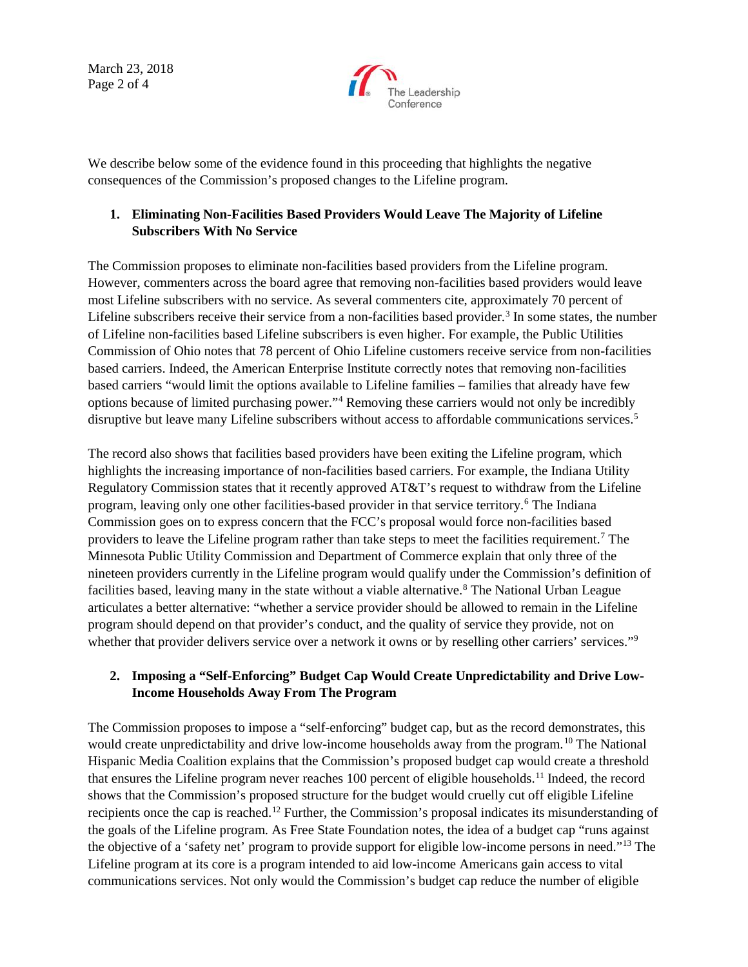March 23, 2018 Page 2 of 4



We describe below some of the evidence found in this proceeding that highlights the negative consequences of the Commission's proposed changes to the Lifeline program.

## **1. Eliminating Non-Facilities Based Providers Would Leave The Majority of Lifeline Subscribers With No Service**

The Commission proposes to eliminate non-facilities based providers from the Lifeline program. However, commenters across the board agree that removing non-facilities based providers would leave most Lifeline subscribers with no service. As several commenters cite, approximately 70 percent of Lifeline subscribers receive their service from a non-facilities based provider.<sup>[3](#page-3-2)</sup> In some states, the number of Lifeline non-facilities based Lifeline subscribers is even higher. For example, the Public Utilities Commission of Ohio notes that 78 percent of Ohio Lifeline customers receive service from non-facilities based carriers. Indeed, the American Enterprise Institute correctly notes that removing non-facilities based carriers "would limit the options available to Lifeline families – families that already have few options because of limited purchasing power."[4](#page-3-3) Removing these carriers would not only be incredibly disruptive but leave many Lifeline subscribers without access to affordable communications services.<sup>[5](#page-3-4)</sup>

The record also shows that facilities based providers have been exiting the Lifeline program, which highlights the increasing importance of non-facilities based carriers. For example, the Indiana Utility Regulatory Commission states that it recently approved AT&T's request to withdraw from the Lifeline program, leaving only one other facilities-based provider in that service territory.[6](#page-3-5) The Indiana Commission goes on to express concern that the FCC's proposal would force non-facilities based providers to leave the Lifeline program rather than take steps to meet the facilities requirement.[7](#page-3-6) The Minnesota Public Utility Commission and Department of Commerce explain that only three of the nineteen providers currently in the Lifeline program would qualify under the Commission's definition of facilities based, leaving many in the state without a viable alternative.<sup>[8](#page-3-7)</sup> The National Urban League articulates a better alternative: "whether a service provider should be allowed to remain in the Lifeline program should depend on that provider's conduct, and the quality of service they provide, not on whether that provider delivers service over a network it owns or by reselling other carriers' services."<sup>[9](#page-3-8)</sup>

## **2. Imposing a "Self-Enforcing" Budget Cap Would Create Unpredictability and Drive Low-Income Households Away From The Program**

The Commission proposes to impose a "self-enforcing" budget cap, but as the record demonstrates, this would create unpredictability and drive low-income households away from the program.<sup>[10](#page-3-9)</sup> The National Hispanic Media Coalition explains that the Commission's proposed budget cap would create a threshold that ensures the Lifeline program never reaches 100 percent of eligible households.<sup>[11](#page-3-10)</sup> Indeed, the record shows that the Commission's proposed structure for the budget would cruelly cut off eligible Lifeline recipients once the cap is reached.[12](#page-3-11) Further, the Commission's proposal indicates its misunderstanding of the goals of the Lifeline program. As Free State Foundation notes, the idea of a budget cap "runs against the objective of a 'safety net' program to provide support for eligible low-income persons in need."[13](#page-3-12) The Lifeline program at its core is a program intended to aid low-income Americans gain access to vital communications services. Not only would the Commission's budget cap reduce the number of eligible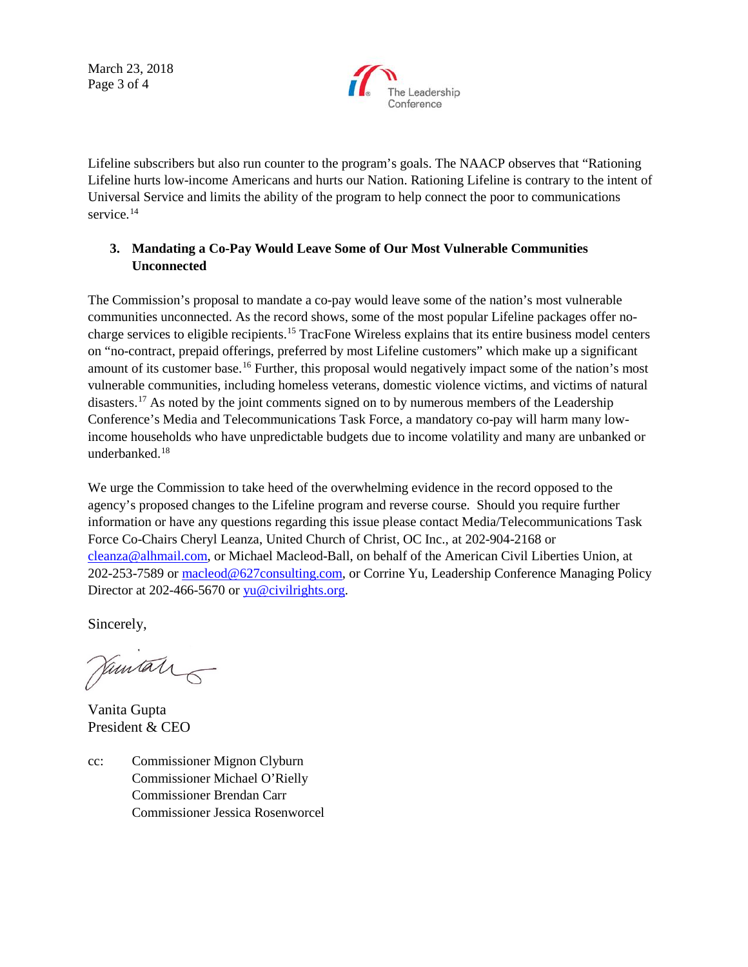March 23, 2018 Page 3 of 4



Lifeline subscribers but also run counter to the program's goals. The NAACP observes that "Rationing Lifeline hurts low-income Americans and hurts our Nation. Rationing Lifeline is contrary to the intent of Universal Service and limits the ability of the program to help connect the poor to communications service.<sup>[14](#page-3-13)</sup>

## **3. Mandating a Co-Pay Would Leave Some of Our Most Vulnerable Communities Unconnected**

The Commission's proposal to mandate a co-pay would leave some of the nation's most vulnerable communities unconnected. As the record shows, some of the most popular Lifeline packages offer nocharge services to eligible recipients.[15](#page-3-14) TracFone Wireless explains that its entire business model centers on "no-contract, prepaid offerings, preferred by most Lifeline customers" which make up a significant amount of its customer base.[16](#page-3-15) Further, this proposal would negatively impact some of the nation's most vulnerable communities, including homeless veterans, domestic violence victims, and victims of natural disasters.<sup>[17](#page-3-16)</sup> As noted by the joint comments signed on to by numerous members of the Leadership Conference's Media and Telecommunications Task Force, a mandatory co-pay will harm many lowincome households who have unpredictable budgets due to income volatility and many are unbanked or underbanked.<sup>[18](#page-3-17)</sup>

We urge the Commission to take heed of the overwhelming evidence in the record opposed to the agency's proposed changes to the Lifeline program and reverse course. Should you require further information or have any questions regarding this issue please contact Media/Telecommunications Task Force Co-Chairs Cheryl Leanza, United Church of Christ, OC Inc., at 202-904-2168 or [cleanza@alhmail.com,](mailto:cleanza@alhmail.com) or Michael Macleod-Ball, on behalf of the American Civil Liberties Union, at 202-253-7589 or [macleod@627consulting.com,](mailto:macleod@627consulting.com) or Corrine Yu, Leadership Conference Managing Policy Director at 202-466-5670 or [yu@civilrights.org.](mailto:yu@civilrights.org)

Sincerely,

Jamital

Vanita Gupta President & CEO

cc: Commissioner Mignon Clyburn Commissioner Michael O'Rielly Commissioner Brendan Carr Commissioner Jessica Rosenworcel